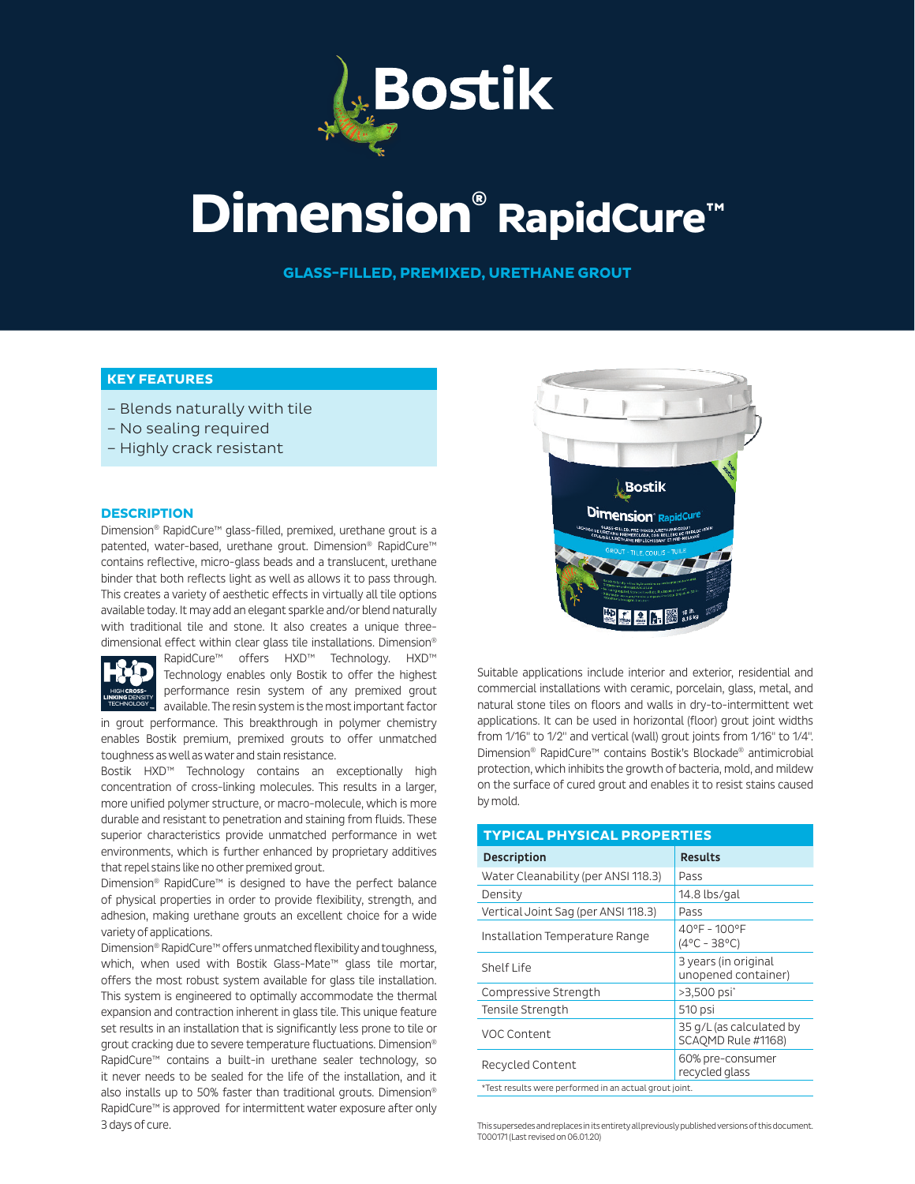

# **Dimension® RapidCure™**

**GLASS-FILLED, PREMIXED, URETHANE GROUT**

# **KEY FEATURES**

- Blends naturally with tile
- No sealing required
- Highly crack resistant

#### **DESCRIPTION**

Dimension® RapidCure™ glass-filled, premixed, urethane grout is a patented, water-based, urethane grout. Dimension® RapidCure™ contains reflective, micro-glass beads and a translucent, urethane binder that both reflects light as well as allows it to pass through. This creates a variety of aesthetic effects in virtually all tile options available today. It may add an elegant sparkle and/or blend naturally with traditional tile and stone. It also creates a unique threedimensional effect within clear glass tile installations. Dimension®



RapidCure™ offers HXD™ Technology. HXD™ Technology enables only Bostik to offer the highest performance resin system of any premixed grout available. The resin system is the most important factor

in grout performance. This breakthrough in polymer chemistry enables Bostik premium, premixed grouts to offer unmatched toughness as well as water and stain resistance.

Bostik HXD™ Technology contains an exceptionally high concentration of cross-linking molecules. This results in a larger, more unified polymer structure, or macro-molecule, which is more durable and resistant to penetration and staining from fluids. These superior characteristics provide unmatched performance in wet environments, which is further enhanced by proprietary additives that repel stains like no other premixed grout.

Dimension® RapidCure™ is designed to have the perfect balance of physical properties in order to provide flexibility, strength, and adhesion, making urethane grouts an excellent choice for a wide variety of applications.

Dimension® RapidCure™ offers unmatched flexibility and toughness, which, when used with Bostik Glass-Mate™ glass tile mortar, offers the most robust system available for glass tile installation. This system is engineered to optimally accommodate the thermal expansion and contraction inherent in glass tile. This unique feature set results in an installation that is significantly less prone to tile or grout cracking due to severe temperature fluctuations. Dimension® RapidCure™ contains a built-in urethane sealer technology, so it never needs to be sealed for the life of the installation, and it also installs up to 50% faster than traditional grouts. Dimension® RapidCure™ is approved for intermittent water exposure after only 3 days of cure.



Suitable applications include interior and exterior, residential and commercial installations with ceramic, porcelain, glass, metal, and natural stone tiles on floors and walls in dry-to-intermittent wet applications. It can be used in horizontal (floor) grout joint widths from 1/16" to 1/2" and vertical (wall) grout joints from 1/16" to 1/4". Dimension® RapidCure™ contains Bostik's Blockade® antimicrobial protection, which inhibits the growth of bacteria, mold, and mildew on the surface of cured grout and enables it to resist stains caused by mold.

| <b>TYPICAL PHYSICAL PROPERTIES</b>                     |                                                |  |  |  |  |  |
|--------------------------------------------------------|------------------------------------------------|--|--|--|--|--|
| <b>Description</b>                                     | <b>Results</b>                                 |  |  |  |  |  |
| Water Cleanability (per ANSI 118.3)                    | Pass                                           |  |  |  |  |  |
| Density                                                | 14.8 lbs/gal                                   |  |  |  |  |  |
| Vertical Joint Sag (per ANSI 118.3)                    | Pass                                           |  |  |  |  |  |
| Installation Temperature Range                         | 40°F - 100°F<br>$(4^{\circ}C - 38^{\circ}C)$   |  |  |  |  |  |
| Shelf Life                                             | 3 years (in original<br>unopened container)    |  |  |  |  |  |
| Compressive Strength                                   | >3,500 psi <sup>*</sup>                        |  |  |  |  |  |
| Tensile Strength                                       | 510 psi                                        |  |  |  |  |  |
| VOC Content                                            | 35 g/L (as calculated by<br>SCAOMD Rule #1168) |  |  |  |  |  |
| Recycled Content                                       | 60% pre-consumer<br>recycled glass             |  |  |  |  |  |
| *Test results were performed in an actual grout joint. |                                                |  |  |  |  |  |

This supersedes and replaces in its entirety all previously published versions of this document. T000171 (Last revised on 06.01.20)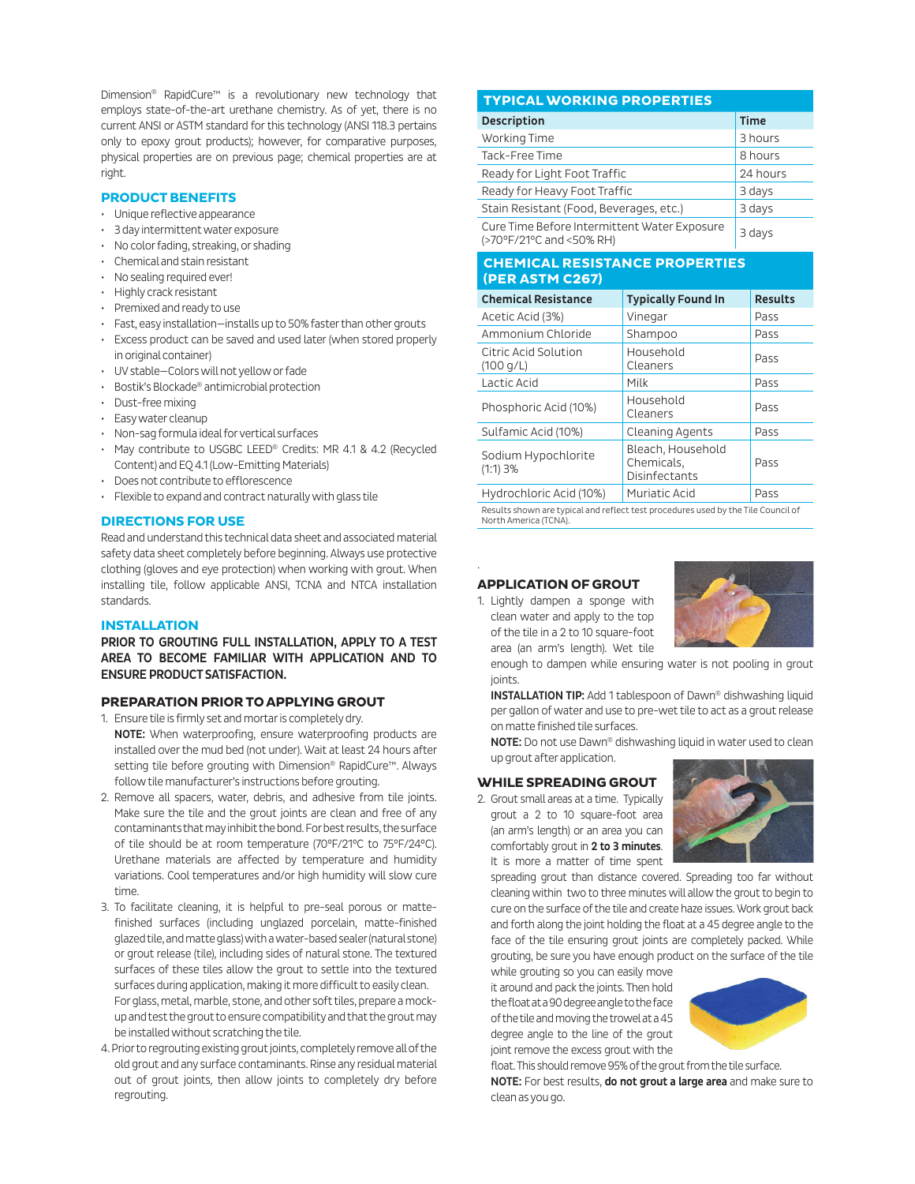Dimension® RapidCure™ is a revolutionary new technology that employs state-of-the-art urethane chemistry. As of yet, there is no current ANSI or ASTM standard for this technology (ANSI 118.3 pertains only to epoxy grout products); however, for comparative purposes, physical properties are on previous page; chemical properties are at right.

#### **PRODUCT BENEFITS**

- Unique reflective appearance
- 3 day intermittent water exposure
- No color fading, streaking, or shading
- Chemical and stain resistant
- No sealing required ever!
- Highly crack resistant
- Premixed and ready to use
- Fast, easy installation—installs up to 50% faster than other grouts
- Excess product can be saved and used later (when stored properly in original container)
- UV stable—Colors will not yellow or fade
- Bostik's Blockade® antimicrobial protection
- Dust-free mixing
- Easy water cleanup
- Non-sag formula ideal for vertical surfaces
- May contribute to USGBC LEED® Credits: MR 4.1 & 4.2 (Recycled Content) and EQ 4.1 (Low-Emitting Materials)
- Does not contribute to efflorescence
- Flexible to expand and contract naturally with glass tile

#### **DIRECTIONS FOR USE**

Read and understand this technical data sheet and associated material safety data sheet completely before beginning. Always use protective clothing (gloves and eye protection) when working with grout. When installing tile, follow applicable ANSI, TCNA and NTCA installation standards.

#### **INSTALLATION**

PRIOR TO GROUTING FULL INSTALLATION, APPLY TO A TEST AREA TO BECOME FAMILIAR WITH APPLICATION AND TO ENSURE PRODUCT SATISFACTION.

#### **PREPARATION PRIOR TO APPLYING GROUT**

1. Ensure tile is firmly set and mortar is completely dry.

- NOTE: When waterproofing, ensure waterproofing products are installed over the mud bed (not under). Wait at least 24 hours after setting tile before grouting with Dimension® RapidCure™. Always follow tile manufacturer's instructions before grouting.
- 2. Remove all spacers, water, debris, and adhesive from tile joints. Make sure the tile and the grout joints are clean and free of any contaminants that may inhibit the bond. For best results, the surface of tile should be at room temperature (70°F/21°C to 75°F/24°C). Urethane materials are affected by temperature and humidity variations. Cool temperatures and/or high humidity will slow cure time.
- 3. To facilitate cleaning, it is helpful to pre-seal porous or mattefinished surfaces (including unglazed porcelain, matte-finished glazed tile, and matte glass) with a water-based sealer (natural stone) or grout release (tile), including sides of natural stone. The textured surfaces of these tiles allow the grout to settle into the textured surfaces during application, making it more difficult to easily clean. For glass, metal, marble, stone, and other soft tiles, prepare a mockup and test the grout to ensure compatibility and that the grout may be installed without scratching the tile.
- 4. Prior to regrouting existing grout joints, completely remove all of the old grout and any surface contaminants. Rinse any residual material out of grout joints, then allow joints to completely dry before regrouting.

#### **TYPICAL WORKING PROPERTIES**

| <b>Description</b>                                                       | <b>Time</b> |  |
|--------------------------------------------------------------------------|-------------|--|
| Working Time                                                             | 3 hours     |  |
| Tack-Free Time                                                           | 8 hours     |  |
| Ready for Light Foot Traffic                                             | 24 hours    |  |
| Ready for Heavy Foot Traffic                                             | 3 days      |  |
| Stain Resistant (Food, Beverages, etc.)                                  | 3 days      |  |
| Cure Time Before Intermittent Water Exposure<br>(>70°F/21°C and <50% RH) | 3 days      |  |

## **CHEMICAL RESISTANCE PROPERTIES (PER ASTM C267)**

| <b>Chemical Resistance</b>        | <b>Typically Found In</b>                               | <b>Results</b> |
|-----------------------------------|---------------------------------------------------------|----------------|
| Acetic Acid (3%)                  | Vinegar                                                 | Pass           |
| Ammonium Chloride                 | Shampoo                                                 | Pass           |
| Citric Acid Solution<br>(100 q/L) | Household<br>Cleaners                                   | Pass           |
| Lactic Acid                       | Milk                                                    | Pass           |
| Phosphoric Acid (10%)             | Household<br>Cleaners                                   | Pass           |
| Sulfamic Acid (10%)               | Cleaning Agents                                         | Pass           |
| Sodium Hypochlorite<br>$(1:1)$ 3% | Bleach, Household<br>Chemicals,<br><b>Disinfectants</b> | Pass           |
| Hydrochloric Acid (10%)           | Muriatic Acid                                           | Pass           |

Results shown are typical and reflect test procedures used by the Tile Council of North America (TCNA).

#### **APPLICATION OF GROUT**

.

1. Lightly dampen a sponge with clean water and apply to the top of the tile in a 2 to 10 square-foot area (an arm's length). Wet tile



enough to dampen while ensuring water is not pooling in grout joints.

**INSTALLATION TIP:** Add 1 tablespoon of Dawn® dishwashing liquid per gallon of water and use to pre-wet tile to act as a grout release on matte finished tile surfaces.

NOTE: Do not use Dawn® dishwashing liquid in water used to clean up grout after application.

#### **WHILE SPREADING GROUT**

2. Grout small areas at a time. Typically grout a 2 to 10 square-foot area (an arm's length) or an area you can comfortably grout in 2 to 3 minutes. It is more a matter of time spent



spreading grout than distance covered. Spreading too far without cleaning within two to three minutes will allow the grout to begin to cure on the surface of the tile and create haze issues. Work grout back and forth along the joint holding the float at a 45 degree angle to the face of the tile ensuring grout joints are completely packed. While grouting, be sure you have enough product on the surface of the tile

while grouting so you can easily move it around and pack the joints. Then hold the float at a 90 degree angle to the face of the tile and moving the trowel at a 45 degree angle to the line of the grout joint remove the excess grout with the



float. This should remove 95% of the grout from the tile surface. NOTE: For best results, do not grout a large area and make sure to clean as you go.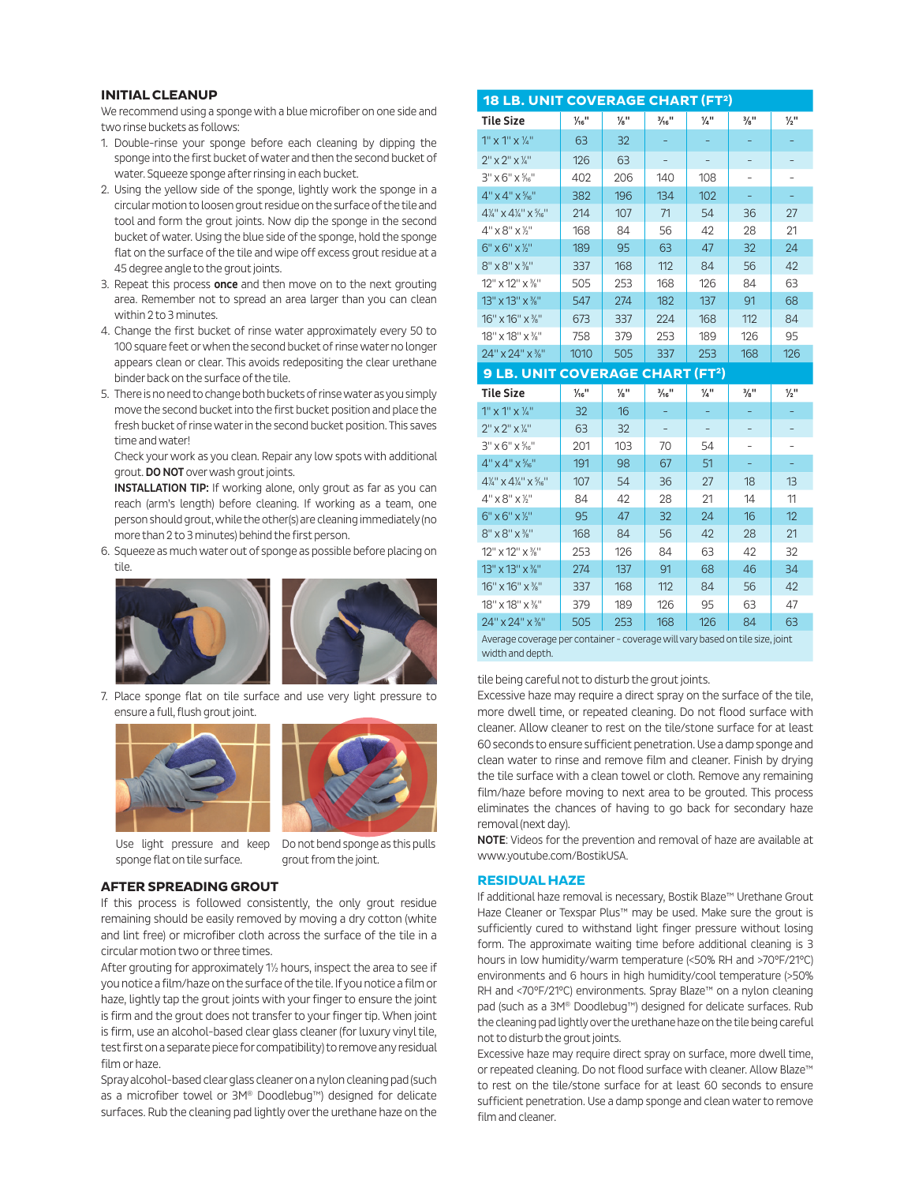#### **INITIAL CLEANUP**

We recommend using a sponge with a blue microfiber on one side and two rinse buckets as follows:

- 1. Double-rinse your sponge before each cleaning by dipping the sponge into the first bucket of water and then the second bucket of water. Squeeze sponge after rinsing in each bucket.
- 2. Using the yellow side of the sponge, lightly work the sponge in a circular motion to loosen grout residue on the surface of the tile and tool and form the grout joints. Now dip the sponge in the second bucket of water. Using the blue side of the sponge, hold the sponge flat on the surface of the tile and wipe off excess grout residue at a 45 degree angle to the grout joints.
- 3. Repeat this process once and then move on to the next grouting area. Remember not to spread an area larger than you can clean within 2 to 3 minutes.
- 4. Change the first bucket of rinse water approximately every 50 to 100 square feet or when the second bucket of rinse water no longer appears clean or clear. This avoids redepositing the clear urethane binder back on the surface of the tile.
- 5. There is no need to change both buckets of rinse water as you simply move the second bucket into the first bucket position and place the fresh bucket of rinse water in the second bucket position. This saves time and water!

Check your work as you clean. Repair any low spots with additional grout. DO NOT over wash grout joints.

**INSTALLATION TIP:** If working alone, only grout as far as you can reach (arm's length) before cleaning. If working as a team, one person should grout, while the other(s) are cleaning immediately (no more than 2 to 3 minutes) behind the first person.

6. Squeeze as much water out of sponge as possible before placing on tile.



7. Place sponge flat on tile surface and use very light pressure to ensure a full, flush grout joint.





Use light pressure and keep sponge flat on tile surface.

Do not bend sponge as this pulls grout from the joint.

#### **AFTER SPREADING GROUT**

If this process is followed consistently, the only grout residue remaining should be easily removed by moving a dry cotton (white and lint free) or microfiber cloth across the surface of the tile in a circular motion two or three times.

After grouting for approximately 1½ hours, inspect the area to see if you notice a film/haze on the surface of the tile. If you notice a film or haze, lightly tap the grout joints with your finger to ensure the joint is firm and the grout does not transfer to your finger tip. When joint is firm, use an alcohol-based clear glass cleaner (for luxury vinyl tile, test first on a separate piece for compatibility) to remove any residual film or haze.

Spray alcohol-based clear glass cleaner on a nylon cleaning pad (such as a microfiber towel or 3M® Doodlebug™) designed for delicate surfaces. Rub the cleaning pad lightly over the urethane haze on the

| <b>18 LB. UNIT COVERAGE CHART (FT2)</b>                                                           |                              |                 |                              |                 |                             |                 |  |  |
|---------------------------------------------------------------------------------------------------|------------------------------|-----------------|------------------------------|-----------------|-----------------------------|-----------------|--|--|
| <b>Tile Size</b>                                                                                  | $\frac{1}{16}$ <sup>11</sup> | $\frac{1}{8}$ " | $\frac{3}{16}$ <sup>11</sup> | $\frac{1}{4}$ " | 3/8"                        | $\frac{1}{2}$ " |  |  |
| $1'' \times 1'' \times \frac{1}{4}''$                                                             | 63                           | 32              |                              |                 |                             |                 |  |  |
| $2''$ x $2''$ x $\frac{1}{4}''$                                                                   | 126                          | 63              |                              |                 |                             |                 |  |  |
| $3''$ x 6" x $\frac{5}{16}$ "                                                                     | 402                          | 206             | 140                          | 108             |                             |                 |  |  |
| 4" x 4" x %"                                                                                      | 382                          | 196             | 134                          | 102             |                             |                 |  |  |
| $4\frac{1}{4}$ " x $4\frac{1}{4}$ " x $\frac{5}{16}$ "                                            | 214                          | 107             | 71                           | 54              | 36                          | 27              |  |  |
| $4" \times 8" \times 16"$                                                                         | 168                          | 84              | 56                           | 42              | 28                          | 21              |  |  |
| $6" \times 6" \times ½"$                                                                          | 189                          | 95              | 63                           | 47              | 32                          | 24              |  |  |
| $8'' \times 8'' \times 3''$                                                                       | 337                          | 168             | 112                          | 84              | 56                          | 42              |  |  |
| 12" x 12" x %"                                                                                    | 505                          | 253             | 168                          | 126             | 84                          | 63              |  |  |
| 13" x 13" x %"                                                                                    | 547                          | 274             | 182                          | 137             | 91                          | 68              |  |  |
| 16" x 16" x %"                                                                                    | 673                          | 337             | 224                          | 168             | 112                         | 84              |  |  |
| 18" x 18" x %"                                                                                    | 758                          | 379             | 253                          | 189             | 126                         | 95              |  |  |
| 24" x 24" x %"                                                                                    | 1010                         | 505             | 337                          | 253             | 168                         | 126             |  |  |
| <b>9 LB. UNIT COVERAGE CHART (FT2)</b>                                                            |                              |                 |                              |                 |                             |                 |  |  |
| Tile Size                                                                                         | $\frac{1}{16}$               | $\frac{1}{8}$ " | $\frac{3}{16}$ <sup>11</sup> | $\frac{1}{4}$ " | $\frac{3}{8}$ <sup>11</sup> | $\frac{1}{2}$ " |  |  |
| $1''$ x $1''$ x $\frac{1}{4}''$                                                                   | 32                           | 16              |                              | ÷               | ÷                           |                 |  |  |
| $2" \times 2" \times 7"$                                                                          | 63                           | 32              |                              |                 |                             |                 |  |  |
| $3''$ x 6" x %"                                                                                   | 201                          | 103             | 70                           | 54              |                             |                 |  |  |
| $4" \times 4" \times \frac{5}{16}$                                                                | 191                          | 98              | 67                           | 51              | Ξ,                          | ÷               |  |  |
| $4\frac{1}{4}$ " $\times$ $4\frac{1}{4}$ " $\times$ $\frac{5}{16}$ "                              | 107                          | 54              | 36                           | 27              | 18                          | 13              |  |  |
| $4" \times 8" \times 7"$                                                                          | 84                           | 42              | 28                           | 21              | 14                          | 11              |  |  |
| $6" \times 6" \times ½"$                                                                          | 95                           | 47              | 32                           | 24              | 16                          | 12              |  |  |
| $8" \times 8" \times 3"$                                                                          | 168                          | 84              | 56                           | 42              | 28                          | 21              |  |  |
| 12" x 12" x 3/ <sub>8</sub> "                                                                     | 253                          | 126             | 84                           | 63              | 42                          | 32              |  |  |
| 13" x 13" x %"                                                                                    | 274                          | 137             | 91                           | 68              | 46                          | 34              |  |  |
| 16" x 16" x %"                                                                                    | 337                          | 168             | 112                          | 84              | 56                          | 42              |  |  |
| 18" x 18" x %"                                                                                    | 379                          | 189             | 126                          | 95              | 63                          | 47              |  |  |
| 24" x 24" x %"                                                                                    | 505                          | 253             | 168                          | 126             | 84                          | 63              |  |  |
| Average coverage per container - coverage will vary based on tile size, joint<br>width and depth. |                              |                 |                              |                 |                             |                 |  |  |

#### tile being careful not to disturb the grout joints.

Excessive haze may require a direct spray on the surface of the tile, more dwell time, or repeated cleaning. Do not flood surface with cleaner. Allow cleaner to rest on the tile/stone surface for at least 60 seconds to ensure sufficient penetration. Use a damp sponge and clean water to rinse and remove film and cleaner. Finish by drying the tile surface with a clean towel or cloth. Remove any remaining film/haze before moving to next area to be grouted. This process eliminates the chances of having to go back for secondary haze removal (next day).

NOTE: Videos for the prevention and removal of haze are available at www.youtube.com/BostikUSA.

# **RESIDUAL HAZE**

If additional haze removal is necessary, Bostik Blaze™ Urethane Grout Haze Cleaner or Texspar Plus™ may be used. Make sure the grout is sufficiently cured to withstand light finger pressure without losing form. The approximate waiting time before additional cleaning is 3 hours in low humidity/warm temperature (<50% RH and >70°F/21°C) environments and 6 hours in high humidity/cool temperature (>50% RH and <70°F/21°C) environments. Spray Blaze™ on a nylon cleaning pad (such as a 3M® Doodlebug™) designed for delicate surfaces. Rub the cleaning pad lightly over the urethane haze on the tile being careful not to disturb the grout joints.

Excessive haze may require direct spray on surface, more dwell time, or repeated cleaning. Do not flood surface with cleaner. Allow Blaze™ to rest on the tile/stone surface for at least 60 seconds to ensure sufficient penetration. Use a damp sponge and clean water to remove film and cleaner.